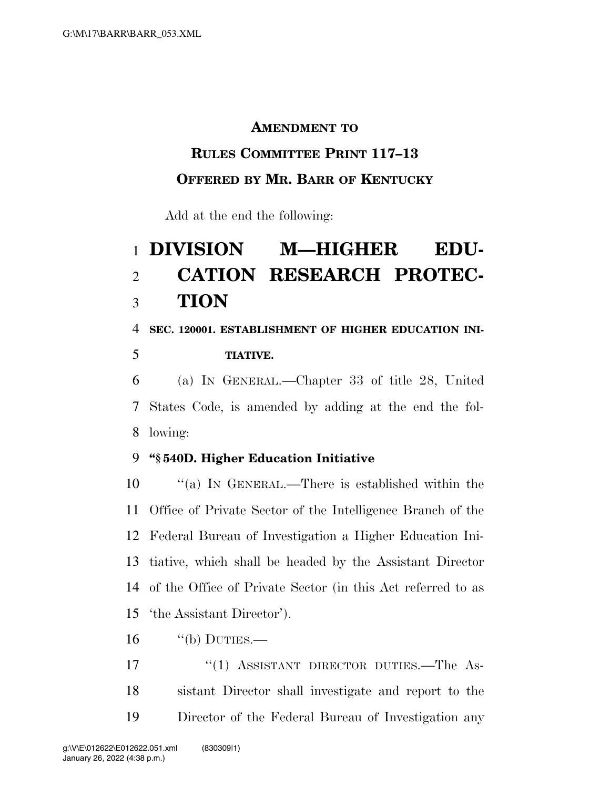### **AMENDMENT TO**

### **RULES COMMITTEE PRINT 117–13**

# **OFFERED BY MR. BARR OF KENTUCKY**

Add at the end the following:

# **DIVISION M—HIGHER EDU- CATION RESEARCH PROTEC-TION**

**SEC. 120001. ESTABLISHMENT OF HIGHER EDUCATION INI-**

#### **TIATIVE.**

 (a) IN GENERAL.—Chapter 33 of title 28, United States Code, is amended by adding at the end the fol-lowing:

## **''§ 540D. Higher Education Initiative**

 ''(a) IN GENERAL.—There is established within the Office of Private Sector of the Intelligence Branch of the Federal Bureau of Investigation a Higher Education Ini- tiative, which shall be headed by the Assistant Director of the Office of Private Sector (in this Act referred to as 'the Assistant Director').

"(b) DUTIES.—

17 "(1) ASSISTANT DIRECTOR DUTIES.—The As- sistant Director shall investigate and report to the Director of the Federal Bureau of Investigation any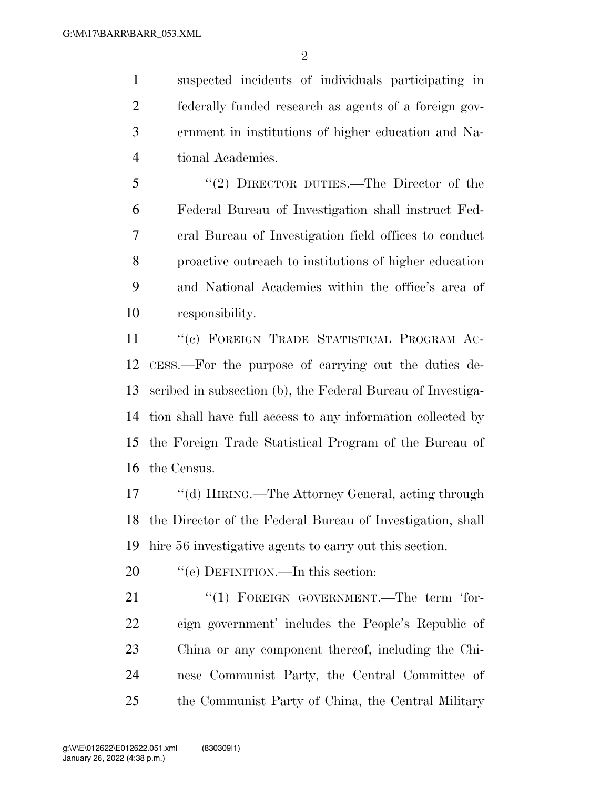suspected incidents of individuals participating in federally funded research as agents of a foreign gov- ernment in institutions of higher education and Na-tional Academies.

 ''(2) DIRECTOR DUTIES.—The Director of the Federal Bureau of Investigation shall instruct Fed- eral Bureau of Investigation field offices to conduct proactive outreach to institutions of higher education and National Academies within the office's area of responsibility.

11 "(c) FOREIGN TRADE STATISTICAL PROGRAM AC- CESS.—For the purpose of carrying out the duties de- scribed in subsection (b), the Federal Bureau of Investiga- tion shall have full access to any information collected by the Foreign Trade Statistical Program of the Bureau of the Census.

 ''(d) HIRING.—The Attorney General, acting through the Director of the Federal Bureau of Investigation, shall hire 56 investigative agents to carry out this section.

20 "'(e) DEFINITION.—In this section:

21 "(1) FOREIGN GOVERNMENT.—The term 'for- eign government' includes the People's Republic of China or any component thereof, including the Chi- nese Communist Party, the Central Committee of the Communist Party of China, the Central Military